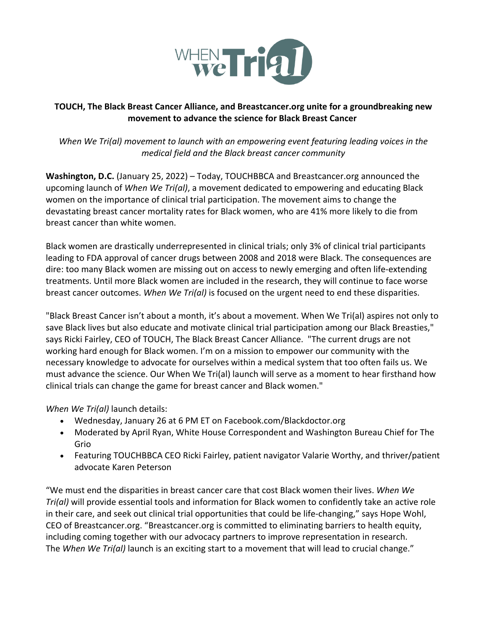

# **TOUCH, The Black Breast Cancer Alliance, and Breastcancer.org unite for a groundbreaking new movement to advance the science for Black Breast Cancer**

*When We Tri(al) movement to launch with an empowering event featuring leading voices in the medical field and the Black breast cancer community*

**Washington, D.C.** (January 25, 2022) – Today, TOUCHBBCA and Breastcancer.org announced the upcoming launch of *When We Tri(al)*, a movement dedicated to empowering and educating Black women on the importance of clinical trial participation. The movement aims to change the devastating breast cancer mortality rates for Black women, who are 41% more likely to die from breast cancer than white women.

Black women are drastically underrepresented in clinical trials; only 3% of clinical trial participants leading to FDA approval of cancer drugs between 2008 and 2018 were Black. The consequences are dire: too many Black women are missing out on access to newly emerging and often life-extending treatments. Until more Black women are included in the research, they will continue to face worse breast cancer outcomes. *When We Tri(al)* is focused on the urgent need to end these disparities.

"Black Breast Cancer isn't about a month, it's about a movement. When We Tri(al) aspires not only to save Black lives but also educate and motivate clinical trial participation among our Black Breasties," says Ricki Fairley, CEO of TOUCH, The Black Breast Cancer Alliance. "The current drugs are not working hard enough for Black women. I'm on a mission to empower our community with the necessary knowledge to advocate for ourselves within a medical system that too often fails us. We must advance the science. Our When We Tri(al) launch will serve as a moment to hear firsthand how clinical trials can change the game for breast cancer and Black women."

*When We Tri(al)* launch details:

- Wednesday, January 26 at 6 PM ET on Facebook.com/Blackdoctor.org
- Moderated by April Ryan, White House Correspondent and Washington Bureau Chief for The Grio
- Featuring TOUCHBBCA CEO Ricki Fairley, patient navigator Valarie Worthy, and thriver/patient advocate Karen Peterson

"We must end the disparities in breast cancer care that cost Black women their lives. *When We Tri(al)* will provide essential tools and information for Black women to confidently take an active role in their care, and seek out clinical trial opportunities that could be life-changing," says Hope Wohl, CEO of Breastcancer.org. "Breastcancer.org is committed to eliminating barriers to health equity, including coming together with our advocacy partners to improve representation in research. The *When We Tri(al)* launch is an exciting start to a movement that will lead to crucial change."